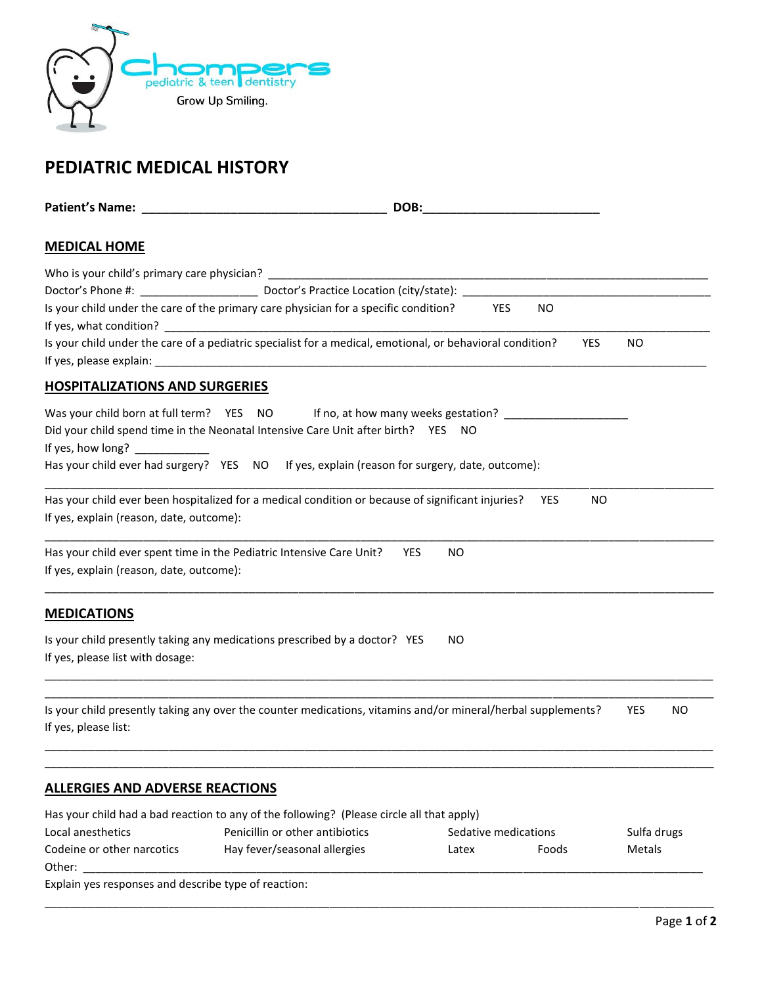

## **PEDIATRIC MEDICAL HISTORY**

| <b>Patient's Name:</b> The Company of the Company of the Company of the Company of the Company of the Company of the Company of the Company of the Company of the Company of the Company of the Company of the Company of the Compa |                                                                                                              | DOB:                    |                      |             |    |
|-------------------------------------------------------------------------------------------------------------------------------------------------------------------------------------------------------------------------------------|--------------------------------------------------------------------------------------------------------------|-------------------------|----------------------|-------------|----|
| <b>MEDICAL HOME</b>                                                                                                                                                                                                                 |                                                                                                              |                         |                      |             |    |
|                                                                                                                                                                                                                                     |                                                                                                              |                         |                      |             |    |
|                                                                                                                                                                                                                                     |                                                                                                              |                         |                      |             |    |
|                                                                                                                                                                                                                                     | Is your child under the care of the primary care physician for a specific condition?                         |                         | YES.<br>NO.          |             |    |
|                                                                                                                                                                                                                                     |                                                                                                              |                         |                      |             |    |
|                                                                                                                                                                                                                                     | Is your child under the care of a pediatric specialist for a medical, emotional, or behavioral condition?    |                         | <b>YES</b>           | <b>NO</b>   |    |
| <b>HOSPITALIZATIONS AND SURGERIES</b>                                                                                                                                                                                               |                                                                                                              |                         |                      |             |    |
| Was your child born at full term? YES NO                                                                                                                                                                                            |                                                                                                              |                         |                      |             |    |
|                                                                                                                                                                                                                                     | Did your child spend time in the Neonatal Intensive Care Unit after birth? YES NO                            |                         |                      |             |    |
| If yes, how long?                                                                                                                                                                                                                   |                                                                                                              |                         |                      |             |    |
|                                                                                                                                                                                                                                     | Has your child ever had surgery? YES NO If yes, explain (reason for surgery, date, outcome):                 |                         |                      |             |    |
| If yes, explain (reason, date, outcome):                                                                                                                                                                                            | Has your child ever been hospitalized for a medical condition or because of significant injuries?            |                         | <b>YES</b><br>NO.    |             |    |
| If yes, explain (reason, date, outcome):                                                                                                                                                                                            | Has your child ever spent time in the Pediatric Intensive Care Unit?                                         | <b>YES</b><br><b>NO</b> |                      |             |    |
| <b>MEDICATIONS</b>                                                                                                                                                                                                                  |                                                                                                              |                         |                      |             |    |
| If yes, please list with dosage:                                                                                                                                                                                                    | Is your child presently taking any medications prescribed by a doctor? YES                                   | NO.                     |                      |             |    |
| If yes, please list:                                                                                                                                                                                                                | Is your child presently taking any over the counter medications, vitamins and/or mineral/herbal supplements? |                         |                      | <b>YES</b>  | ΝO |
| <b>ALLERGIES AND ADVERSE REACTIONS</b>                                                                                                                                                                                              |                                                                                                              |                         |                      |             |    |
|                                                                                                                                                                                                                                     | Has your child had a bad reaction to any of the following? (Please circle all that apply)                    |                         |                      |             |    |
| Local anesthetics                                                                                                                                                                                                                   | Penicillin or other antibiotics                                                                              |                         | Sedative medications | Sulfa drugs |    |
| Codeine or other narcotics<br>Other:                                                                                                                                                                                                | Hay fever/seasonal allergies                                                                                 | Latex                   | Foods                | Metals      |    |
| Explain yes responses and describe type of reaction:                                                                                                                                                                                |                                                                                                              |                         |                      |             |    |
|                                                                                                                                                                                                                                     |                                                                                                              |                         |                      |             |    |